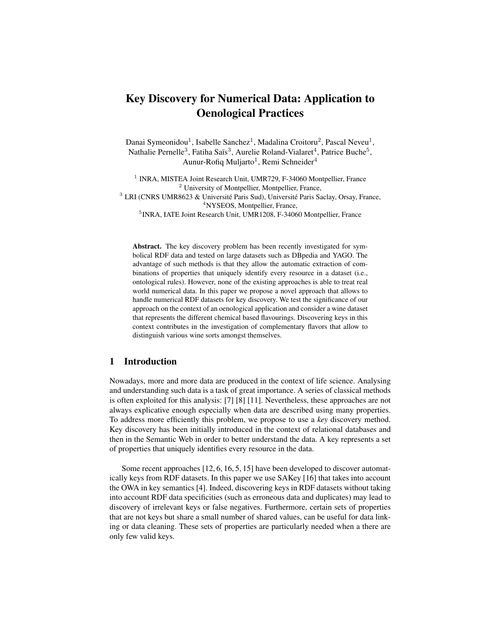# Key Discovery for Numerical Data: Application to Oenological Practices

Danai Symeonidou<sup>1</sup>, Isabelle Sanchez<sup>1</sup>, Madalina Croitoru<sup>2</sup>, Pascal Neveu<sup>1</sup>, Nathalie Pernelle<sup>3</sup>, Fatiha Saïs<sup>3</sup>, Aurelie Roland-Vialaret<sup>4</sup>, Patrice Buche<sup>5</sup>, Aunur-Rofiq Muljarto<sup>1</sup>, Remi Schneider<sup>4</sup>

<sup>1</sup> INRA, MISTEA Joint Research Unit, UMR729, F-34060 Montpellier, France <sup>2</sup> University of Montpellier, Montpellier, France, <sup>3</sup> LRI (CNRS UMR8623 & Université Paris Sud), Université Paris Saclay, Orsay, France, <sup>4</sup>NYSEOS, Montpellier, France, 5 INRA, IATE Joint Research Unit, UMR1208, F-34060 Montpellier, France

Abstract. The key discovery problem has been recently investigated for symbolical RDF data and tested on large datasets such as DBpedia and YAGO. The advantage of such methods is that they allow the automatic extraction of combinations of properties that uniquely identify every resource in a dataset (i.e., ontological rules). However, none of the existing approaches is able to treat real world numerical data. In this paper we propose a novel approach that allows to handle numerical RDF datasets for key discovery. We test the significance of our approach on the context of an oenological application and consider a wine dataset that represents the different chemical based flavourings. Discovering keys in this context contributes in the investigation of complementary flavors that allow to distinguish various wine sorts amongst themselves.

# 1 Introduction

Nowadays, more and more data are produced in the context of life science. Analysing and understanding such data is a task of great importance. A series of classical methods is often exploited for this analysis: [7] [8] [11]. Nevertheless, these approaches are not always explicative enough especially when data are described using many properties. To address more efficiently this problem, we propose to use a *key* discovery method. Key discovery has been initially introduced in the context of relational databases and then in the Semantic Web in order to better understand the data. A key represents a set of properties that uniquely identifies every resource in the data.

Some recent approaches [12, 6, 16, 5, 15] have been developed to discover automatically keys from RDF datasets. In this paper we use SAKey [16] that takes into account the OWA in key semantics [4]. Indeed, discovering keys in RDF datasets without taking into account RDF data specificities (such as erroneous data and duplicates) may lead to discovery of irrelevant keys or false negatives. Furthermore, certain sets of properties that are not keys but share a small number of shared values, can be useful for data linking or data cleaning. These sets of properties are particularly needed when a there are only few valid keys.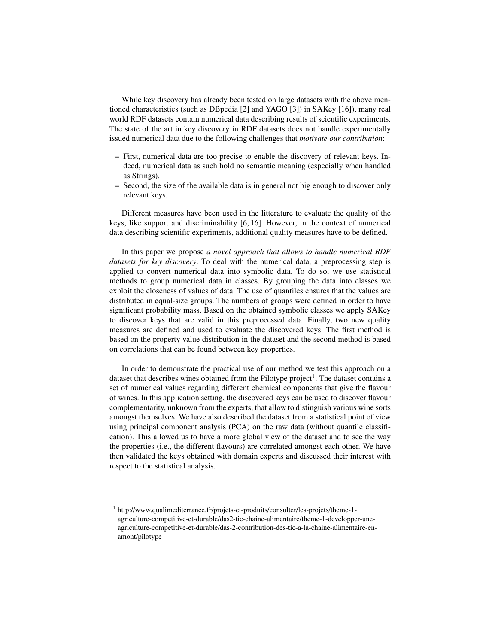While key discovery has already been tested on large datasets with the above mentioned characteristics (such as DBpedia [2] and YAGO [3]) in SAKey [16]), many real world RDF datasets contain numerical data describing results of scientific experiments. The state of the art in key discovery in RDF datasets does not handle experimentally issued numerical data due to the following challenges that *motivate our contribution*:

- First, numerical data are too precise to enable the discovery of relevant keys. Indeed, numerical data as such hold no semantic meaning (especially when handled as Strings).
- Second, the size of the available data is in general not big enough to discover only relevant keys.

Different measures have been used in the litterature to evaluate the quality of the keys, like support and discriminability [6, 16]. However, in the context of numerical data describing scientific experiments, additional quality measures have to be defined.

In this paper we propose *a novel approach that allows to handle numerical RDF datasets for key discovery*. To deal with the numerical data, a preprocessing step is applied to convert numerical data into symbolic data. To do so, we use statistical methods to group numerical data in classes. By grouping the data into classes we exploit the closeness of values of data. The use of quantiles ensures that the values are distributed in equal-size groups. The numbers of groups were defined in order to have significant probability mass. Based on the obtained symbolic classes we apply SAKey to discover keys that are valid in this preprocessed data. Finally, two new quality measures are defined and used to evaluate the discovered keys. The first method is based on the property value distribution in the dataset and the second method is based on correlations that can be found between key properties.

In order to demonstrate the practical use of our method we test this approach on a dataset that describes wines obtained from the Pilotype project<sup>1</sup>. The dataset contains a set of numerical values regarding different chemical components that give the flavour of wines. In this application setting, the discovered keys can be used to discover flavour complementarity, unknown from the experts, that allow to distinguish various wine sorts amongst themselves. We have also described the dataset from a statistical point of view using principal component analysis (PCA) on the raw data (without quantile classification). This allowed us to have a more global view of the dataset and to see the way the properties (i.e., the different flavours) are correlated amongst each other. We have then validated the keys obtained with domain experts and discussed their interest with respect to the statistical analysis.

<sup>&</sup>lt;sup>1</sup> http://www.qualimediterranee.fr/projets-et-produits/consulter/les-projets/theme-1agriculture-competitive-et-durable/das2-tic-chaine-alimentaire/theme-1-developper-uneagriculture-competitive-et-durable/das-2-contribution-des-tic-a-la-chaine-alimentaire-enamont/pilotype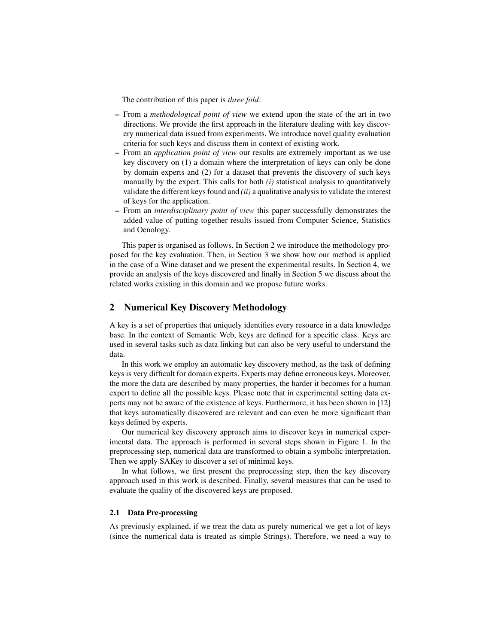The contribution of this paper is *three fold*:

- From a *methodological point of view* we extend upon the state of the art in two directions. We provide the first approach in the literature dealing with key discovery numerical data issued from experiments. We introduce novel quality evaluation criteria for such keys and discuss them in context of existing work.
- From an *application point of view* our results are extremely important as we use key discovery on (1) a domain where the interpretation of keys can only be done by domain experts and (2) for a dataset that prevents the discovery of such keys manually by the expert. This calls for both *(i)* statistical analysis to quantitatively validate the different keys found and *(ii)* a qualitative analysis to validate the interest of keys for the application.
- From an *interdisciplinary point of view* this paper successfully demonstrates the added value of putting together results issued from Computer Science, Statistics and Oenology.

This paper is organised as follows. In Section 2 we introduce the methodology proposed for the key evaluation. Then, in Section 3 we show how our method is applied in the case of a Wine dataset and we present the experimental results. In Section 4, we provide an analysis of the keys discovered and finally in Section 5 we discuss about the related works existing in this domain and we propose future works.

## 2 Numerical Key Discovery Methodology

A key is a set of properties that uniquely identifies every resource in a data knowledge base. In the context of Semantic Web, keys are defined for a specific class. Keys are used in several tasks such as data linking but can also be very useful to understand the data.

In this work we employ an automatic key discovery method, as the task of defining keys is very difficult for domain experts. Experts may define erroneous keys. Moreover, the more the data are described by many properties, the harder it becomes for a human expert to define all the possible keys. Please note that in experimental setting data experts may not be aware of the existence of keys. Furthermore, it has been shown in [12] that keys automatically discovered are relevant and can even be more significant than keys defined by experts.

Our numerical key discovery approach aims to discover keys in numerical experimental data. The approach is performed in several steps shown in Figure 1. In the preprocessing step, numerical data are transformed to obtain a symbolic interpretation. Then we apply SAKey to discover a set of minimal keys.

In what follows, we first present the preprocessing step, then the key discovery approach used in this work is described. Finally, several measures that can be used to evaluate the quality of the discovered keys are proposed.

#### 2.1 Data Pre-processing

As previously explained, if we treat the data as purely numerical we get a lot of keys (since the numerical data is treated as simple Strings). Therefore, we need a way to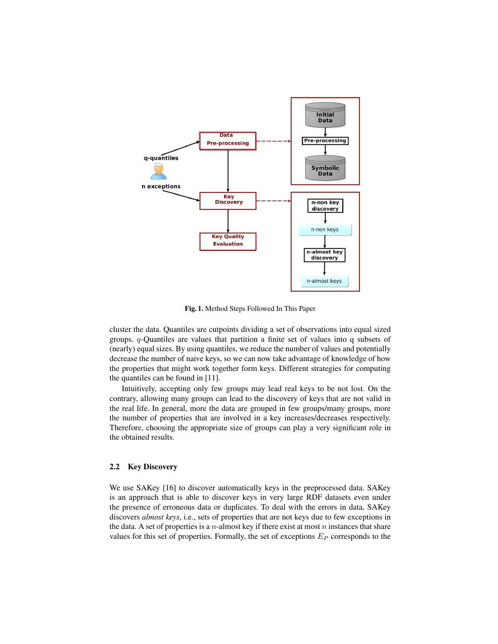

Fig. 1. Method Steps Followed In This Paper

cluster the data. Quantiles are cutpoints dividing a set of observations into equal sized groups. q-Quantiles are values that partition a finite set of values into q subsets of (nearly) equal sizes. By using quantiles, we reduce the number of values and potentially decrease the number of naive keys, so we can now take advantage of knowledge of how the properties that might work together form keys. Different strategies for computing the quantiles can be found in [11].

Intuitively, accepting only few groups may lead real keys to be not lost. On the contrary, allowing many groups can lead to the discovery of keys that are not valid in the real life. In general, more the data are grouped in few groups/many groups, more the number of properties that are involved in a key increases/decreases respectively. Therefore, choosing the appropriate size of groups can play a very significant role in the obtained results.

#### 2.2 Key Discovery

We use SAKey [16] to discover automatically keys in the preprocessed data. SAKey is an approach that is able to discover keys in very large RDF datasets even under the presence of erroneous data or duplicates. To deal with the errors in data, SAKey discovers *almost keys*, i.e., sets of properties that are not keys due to few exceptions in the data. A set of properties is a *n*-almost key if there exist at most *n* instances that share values for this set of properties. Formally, the set of exceptions  $E_P$  corresponds to the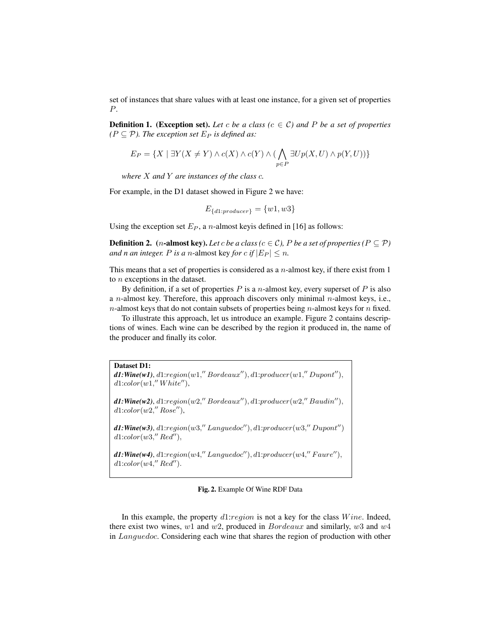set of instances that share values with at least one instance, for a given set of properties P.

**Definition 1. (Exception set).** Let c be a class ( $c \in C$ ) and P be a set of properties  $(P \subseteq P)$ *. The exception set*  $E_P$  *is defined as:* 

$$
E_P = \{ X \mid \exists Y (X \neq Y) \land c(X) \land c(Y) \land (\bigwedge_{p \in P} \exists Up(X, U) \land p(Y, U)) \}
$$

*where* X *and* Y *are instances of the class* c*.*

For example, in the D1 dataset showed in Figure 2 we have:

$$
E_{\{d1: producer\}} = \{w1, w3\}
$$

Using the exception set  $E_P$ , a *n*-almost keyis defined in [16] as follows:

**Definition 2.** (*n*-almost key). Let *c* be a class ( $c \in C$ ), P be a set of properties ( $P \subseteq P$ ) *and n an integer. P is a n*-almost key *for c if*  $|E_P| \le n$ .

This means that a set of properties is considered as a  $n$ -almost key, if there exist from 1 to n exceptions in the dataset.

By definition, if a set of properties  $P$  is a *n*-almost key, every superset of  $P$  is also a *n*-almost key. Therefore, this approach discovers only minimal *n*-almost keys, i.e.,  $n$ -almost keys that do not contain subsets of properties being  $n$ -almost keys for  $n$  fixed.

To illustrate this approach, let us introduce an example. Figure 2 contains descriptions of wines. Each wine can be described by the region it produced in, the name of the producer and finally its color.

#### Dataset D1:

 $dl: \textit{Wine}(w1), \textit{dl:} region(w1," \textit{Bordeaux}''), d1: product(w1," \textit{Dupont}''),$  $d1:color(w1," White''),$ 

 $d1: \text{Wine}(w2), d1: \text{region}(w2,'' \text{ Bordeaux}''), d1: \text{producer}(w2,'' \text{Baudin}''),$  $d1:color(w2," Rose''),$ 

 $dl: \textit{Wine}(w3), \textit{dl:} region(w3," \textit{Languedoc}''), d1: product(w3," \textit{Dupont}'')$  $d1:color(w3,"Red''),$ 

 $dl: \textit{Wine}(w4), \textit{d1:} region(w4,'' \textit{Languagedoc}''), d1: producer(w4,'' \textit{Foure}''),$  $d1:color(w4,"Red'').$ 

#### Fig. 2. Example Of Wine RDF Data

In this example, the property  $d1:region$  is not a key for the class  $Wine$ . Indeed, there exist two wines,  $w1$  and  $w2$ , produced in  $Bordeaux$  and similarly,  $w3$  and  $w4$ in Languedoc. Considering each wine that shares the region of production with other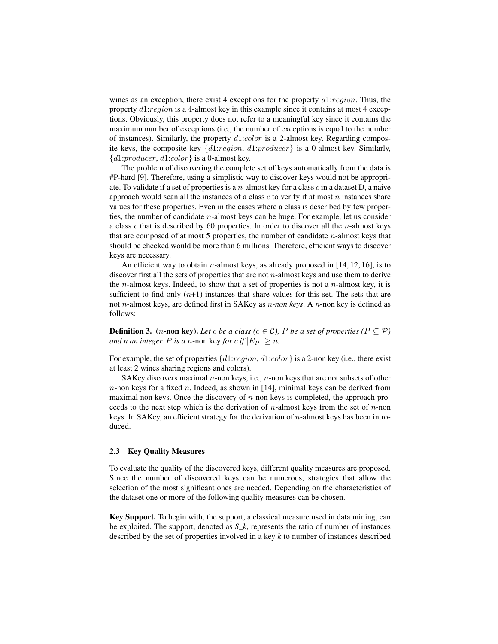wines as an exception, there exist 4 exceptions for the property  $d1:region$ . Thus, the property d1:region is a 4-almost key in this example since it contains at most 4 exceptions. Obviously, this property does not refer to a meaningful key since it contains the maximum number of exceptions (i.e., the number of exceptions is equal to the number of instances). Similarly, the property  $d1:color$  is a 2-almost key. Regarding composite keys, the composite key  $\{d1: region, d1: producer\}$  is a 0-almost key. Similarly,  ${d1:product, d1:color}$  is a 0-almost key.

The problem of discovering the complete set of keys automatically from the data is #P-hard [9]. Therefore, using a simplistic way to discover keys would not be appropriate. To validate if a set of properties is a n-almost key for a class c in a dataset D, a naive approach would scan all the instances of a class  $c$  to verify if at most  $n$  instances share values for these properties. Even in the cases where a class is described by few properties, the number of candidate  $n$ -almost keys can be huge. For example, let us consider a class c that is described by 60 properties. In order to discover all the *n*-almost keys that are composed of at most 5 properties, the number of candidate  $n$ -almost keys that should be checked would be more than 6 millions. Therefore, efficient ways to discover keys are necessary.

An efficient way to obtain *n*-almost keys, as already proposed in  $[14, 12, 16]$ , is to discover first all the sets of properties that are not  $n$ -almost keys and use them to derive the *n*-almost keys. Indeed, to show that a set of properties is not a *n*-almost key, it is sufficient to find only  $(n+1)$  instances that share values for this set. The sets that are not n-almost keys, are defined first in SAKey as n*-non keys*. A n-non key is defined as follows:

**Definition 3.** (*n*-non key). Let *c* be a class ( $c \in C$ ), P be a set of properties ( $P \subseteq P$ ) *and n an integer.* P *is a n*-non key *for* c *if*  $|E_P| \ge n$ .

For example, the set of properties  $\{d1:region, d1:color\}$  is a 2-non key (i.e., there exist at least 2 wines sharing regions and colors).

SAKey discovers maximal  $n$ -non keys, i.e.,  $n$ -non keys that are not subsets of other n-non keys for a fixed n. Indeed, as shown in [14], minimal keys can be derived from maximal non keys. Once the discovery of  $n$ -non keys is completed, the approach proceeds to the next step which is the derivation of  $n$ -almost keys from the set of  $n$ -non keys. In SAKey, an efficient strategy for the derivation of  $n$ -almost keys has been introduced.

#### 2.3 Key Quality Measures

To evaluate the quality of the discovered keys, different quality measures are proposed. Since the number of discovered keys can be numerous, strategies that allow the selection of the most significant ones are needed. Depending on the characteristics of the dataset one or more of the following quality measures can be chosen.

Key Support. To begin with, the support, a classical measure used in data mining, can be exploited. The support, denoted as *S\_k*, represents the ratio of number of instances described by the set of properties involved in a key *k* to number of instances described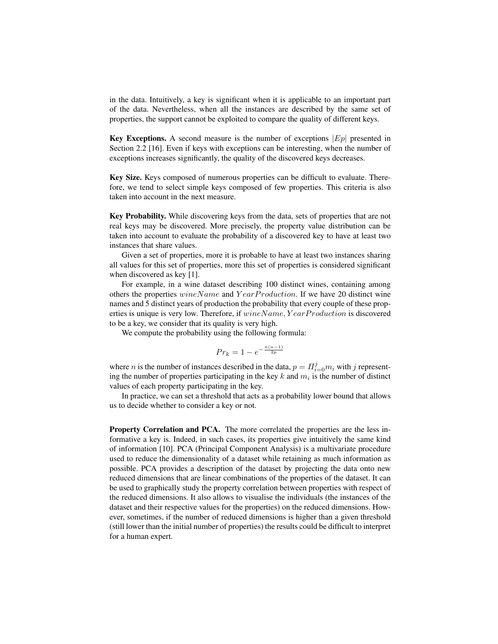in the data. Intuitively, a key is significant when it is applicable to an important part of the data. Nevertheless, when all the instances are described by the same set of properties, the support cannot be exploited to compare the quality of different keys.

Key Exceptions. A second measure is the number of exceptions  $|Ep|$  presented in Section 2.2 [16]. Even if keys with exceptions can be interesting, when the number of exceptions increases significantly, the quality of the discovered keys decreases.

Key Size. Keys composed of numerous properties can be difficult to evaluate. Therefore, we tend to select simple keys composed of few properties. This criteria is also taken into account in the next measure.

Key Probability. While discovering keys from the data, sets of properties that are not real keys may be discovered. More precisely, the property value distribution can be taken into account to evaluate the probability of a discovered key to have at least two instances that share values.

Given a set of properties, more it is probable to have at least two instances sharing all values for this set of properties, more this set of properties is considered significant when discovered as key [1].

For example, in a wine dataset describing 100 distinct wines, containing among others the properties  $wineName$  and  $YearProduction$ . If we have 20 distinct wine names and 5 distinct years of production the probability that every couple of these properties is unique is very low. Therefore, if  $wineName, YearProduction$  is discovered to be a key, we consider that its quality is very high.

We compute the probability using the following formula:

$$
Pr_k = 1 - e^{-\frac{n(n-1)}{2p}}
$$

where *n* is the number of instances described in the data,  $p = \prod_{i=0}^{j} m_i$  with j representing the number of properties participating in the key  $k$  and  $m_i$  is the number of distinct values of each property participating in the key.

In practice, we can set a threshold that acts as a probability lower bound that allows us to decide whether to consider a key or not.

Property Correlation and PCA. The more correlated the properties are the less informative a key is. Indeed, in such cases, its properties give intuitively the same kind of information [10]. PCA (Principal Component Analysis) is a multivariate procedure used to reduce the dimensionality of a dataset while retaining as much information as possible. PCA provides a description of the dataset by projecting the data onto new reduced dimensions that are linear combinations of the properties of the dataset. It can be used to graphically study the property correlation between properties with respect of the reduced dimensions. It also allows to visualise the individuals (the instances of the dataset and their respective values for the properties) on the reduced dimensions. However, sometimes, if the number of reduced dimensions is higher than a given threshold (still lower than the initial number of properties) the results could be difficult to interpret for a human expert.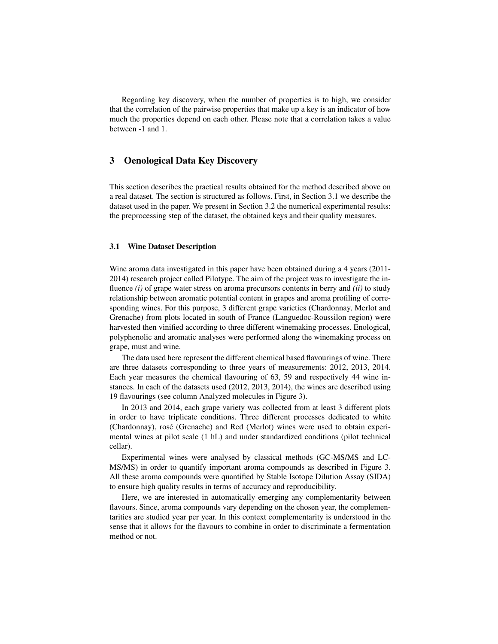Regarding key discovery, when the number of properties is to high, we consider that the correlation of the pairwise properties that make up a key is an indicator of how much the properties depend on each other. Please note that a correlation takes a value between -1 and 1.

## 3 Oenological Data Key Discovery

This section describes the practical results obtained for the method described above on a real dataset. The section is structured as follows. First, in Section 3.1 we describe the dataset used in the paper. We present in Section 3.2 the numerical experimental results: the preprocessing step of the dataset, the obtained keys and their quality measures.

#### 3.1 Wine Dataset Description

Wine aroma data investigated in this paper have been obtained during a 4 years (2011- 2014) research project called Pilotype. The aim of the project was to investigate the influence *(i)* of grape water stress on aroma precursors contents in berry and *(ii)* to study relationship between aromatic potential content in grapes and aroma profiling of corresponding wines. For this purpose, 3 different grape varieties (Chardonnay, Merlot and Grenache) from plots located in south of France (Languedoc-Roussilon region) were harvested then vinified according to three different winemaking processes. Enological, polyphenolic and aromatic analyses were performed along the winemaking process on grape, must and wine.

The data used here represent the different chemical based flavourings of wine. There are three datasets corresponding to three years of measurements: 2012, 2013, 2014. Each year measures the chemical flavouring of 63, 59 and respectively 44 wine instances. In each of the datasets used (2012, 2013, 2014), the wines are described using 19 flavourings (see column Analyzed molecules in Figure 3).

In 2013 and 2014, each grape variety was collected from at least 3 different plots in order to have triplicate conditions. Three different processes dedicated to white (Chardonnay), rosé (Grenache) and Red (Merlot) wines were used to obtain experimental wines at pilot scale (1 hL) and under standardized conditions (pilot technical cellar).

Experimental wines were analysed by classical methods (GC-MS/MS and LC-MS/MS) in order to quantify important aroma compounds as described in Figure 3. All these aroma compounds were quantified by Stable Isotope Dilution Assay (SIDA) to ensure high quality results in terms of accuracy and reproducibility.

Here, we are interested in automatically emerging any complementarity between flavours. Since, aroma compounds vary depending on the chosen year, the complementarities are studied year per year. In this context complementarity is understood in the sense that it allows for the flavours to combine in order to discriminate a fermentation method or not.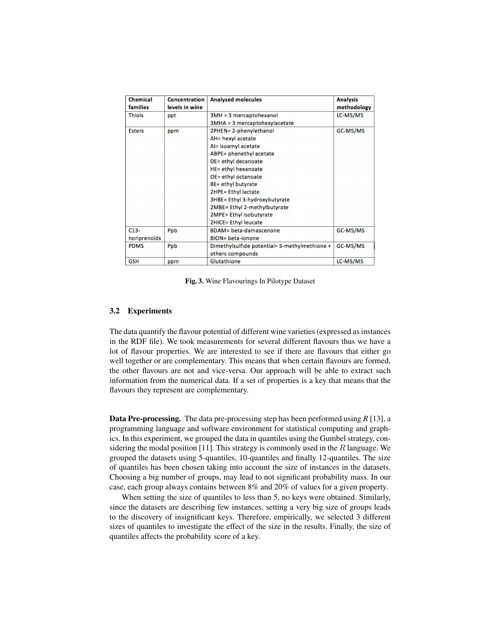| Chemical<br>families | Concentration<br>levels in wine | <b>Analyzed molecules</b>                     | <b>Analysis</b><br>methodology |
|----------------------|---------------------------------|-----------------------------------------------|--------------------------------|
|                      |                                 |                                               |                                |
| <b>Thiols</b>        | ppt                             | $3MH = 3$ mercaptohexanol                     | LC-MS/MS                       |
|                      |                                 | $3MHA = 3$ mercaptohexylacetate               |                                |
| <b>Esters</b>        | ppm                             | 2PHEN= 2-phenylethanol                        | GC-MS/MS                       |
|                      |                                 | AH= hexyl acetate                             |                                |
|                      |                                 | Al= isoamyl acetate                           |                                |
|                      |                                 | ABPE= phenethyl acetate                       |                                |
|                      |                                 | DE= ethyl decanoate                           |                                |
|                      |                                 | HE= ethyl hexanoate                           |                                |
|                      |                                 | OE= ethyl octanoate                           |                                |
|                      |                                 | BE= ethyl butyrate                            |                                |
|                      |                                 | 2HPE= Ethyl lactate                           |                                |
|                      |                                 | 3HBE= Ethyl 3-hydroxybutyrate                 |                                |
|                      |                                 | 2MBE= Ethyl 2-methylbutyrate                  |                                |
|                      |                                 | 2MPE= Ethyl isobutyrate                       |                                |
|                      |                                 | 2HICE= Ethyl leucate                          |                                |
| $C13-$               | Ppb                             | BDAM= beta-damascenone                        | GC-MS/MS                       |
| noriprenoïds         |                                 | <b>BION= beta-ionone</b>                      |                                |
| <b>PDMS</b>          | Ppb                             | Dimethylsulfide potential= S-methylmethione + | GC-MS/MS                       |
|                      |                                 | others compounds                              |                                |
| <b>GSH</b>           | ppm                             | Glutathione                                   | LC-MS/MS                       |

Fig. 3. Wine Flavourings In Pilotype Dataset

#### 3.2 Experiments

The data quantify the flavour potential of different wine varieties (expressed as instances in the RDF file). We took measurements for several different flavours thus we have a lot of flavour properties. We are interested to see if there are flavours that either go well together or are complementary. This means that when certain flavours are formed, the other flavours are not and vice-versa. Our approach will be able to extract such information from the numerical data. If a set of properties is a key that means that the flavours they represent are complementary.

Data Pre-processing. The data pre-processing step has been performed using *R* [13], a programming language and software environment for statistical computing and graphics. In this experiment, we grouped the data in quantiles using the Gumbel strategy, considering the modal position [11]. This strategy is commonly used in the R language. We grouped the datasets using 5-quantiles, 10-quantiles and finally 12-quantiles. The size of quantiles has been chosen taking into account the size of instances in the datasets. Choosing a big number of groups, may lead to not significant probability mass. In our case, each group always contains between 8% and 20% of values for a given property.

When setting the size of quantiles to less than 5, no keys were obtained. Similarly, since the datasets are describing few instances, setting a very big size of groups leads to the discovery of insignificant keys. Therefore, empirically, we selected 3 different sizes of quantiles to investigate the effect of the size in the results. Finally, the size of quantiles affects the probability score of a key.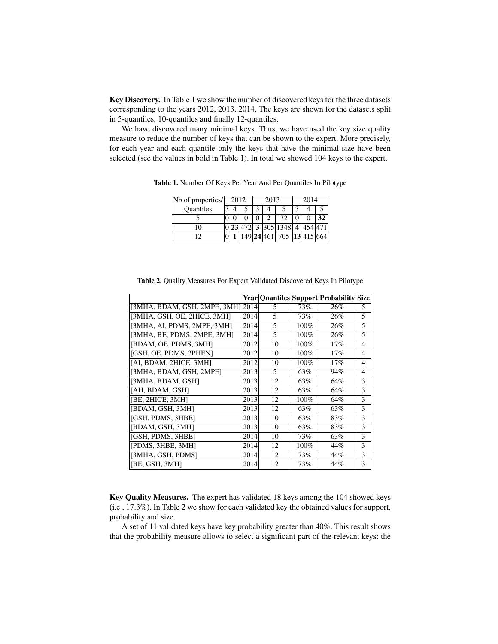Key Discovery. In Table 1 we show the number of discovered keys for the three datasets corresponding to the years 2012, 2013, 2014. The keys are shown for the datasets split in 5-quantiles, 10-quantiles and finally 12-quantiles.

We have discovered many minimal keys. Thus, we have used the key size quality measure to reduce the number of keys that can be shown to the expert. More precisely, for each year and each quantile only the keys that have the minimal size have been selected (see the values in bold in Table 1). In total we showed 104 keys to the expert.

Nb of properties/ Quantiles 2012 2013 2014  $3|4|5|3|4|5|3|4|5$ 5  $|0|0|0|0|2|72|0|0|32$ 10 0 23 472 3 305 1348 4 454 471

Table 1. Number Of Keys Per Year And Per Quantiles In Pilotype

12 0 1 149 24 461 705 13 415 664

|                                   |      |    |         | Year   Quantiles   Support   Probability   Size |   |
|-----------------------------------|------|----|---------|-------------------------------------------------|---|
| [3MHA, BDAM, GSH, 2MPE, 3MH] 2014 |      | 5  | 73%     | 26%                                             | 5 |
| [3MHA, GSH, OE, 2HICE, 3MH]       | 2014 | 5  | 73%     | 26%                                             | 5 |
| [3MHA, AI, PDMS, 2MPE, 3MH]       | 2014 | 5  | $100\%$ | 26%                                             | 5 |
| [3MHA, BE, PDMS, 2MPE, 3MH]       | 2014 | 5  | 100%    | 26%                                             | 5 |
| [BDAM, OE, PDMS, 3MH]             | 2012 | 10 | $100\%$ | 17%                                             | 4 |
| [GSH, OE, PDMS, 2PHEN]            | 2012 | 10 | $100\%$ | $17\%$                                          | 4 |
| [AI, BDAM, 2HICE, 3MH]            | 2012 | 10 | 100%    | 17%                                             | 4 |
| [3MHA, BDAM, GSH, 2MPE]           | 2013 | 5  | 63%     | 94%                                             | 4 |
| [3MHA, BDAM, GSH]                 | 2013 | 12 | 63%     | 64%                                             | 3 |
| [AH, BDAM, GSH]                   | 2013 | 12 | 63%     | 64%                                             | 3 |
| [BE, 2HICE, 3MH]                  | 2013 | 12 | $100\%$ | 64%                                             | 3 |
| [BDAM, GSH, 3MH]                  | 2013 | 12 | 63%     | 63%                                             | 3 |
| IGSH. PDMS. 3HBE1                 | 2013 | 10 | 63%     | 83%                                             | 3 |
| [BDAM, GSH, 3MH]                  | 2013 | 10 | 63%     | 83%                                             | 3 |
| [GSH, PDMS, 3HBE]                 | 2014 | 10 | 73%     | 63%                                             | 3 |
| [PDMS, 3HBE, 3MH]                 | 2014 | 12 | $100\%$ | 44%                                             | 3 |
| [3MHA, GSH, PDMS]                 | 2014 | 12 | 73%     | 44%                                             | 3 |
| [BE. GSH. 3MH]                    | 2014 | 12 | 73%     | 44%                                             | 3 |

Table 2. Quality Measures For Expert Validated Discovered Keys In Pilotype

Key Quality Measures. The expert has validated 18 keys among the 104 showed keys (i.e., 17.3%). In Table 2 we show for each validated key the obtained values for support, probability and size.

A set of 11 validated keys have key probability greater than 40%. This result shows that the probability measure allows to select a significant part of the relevant keys: the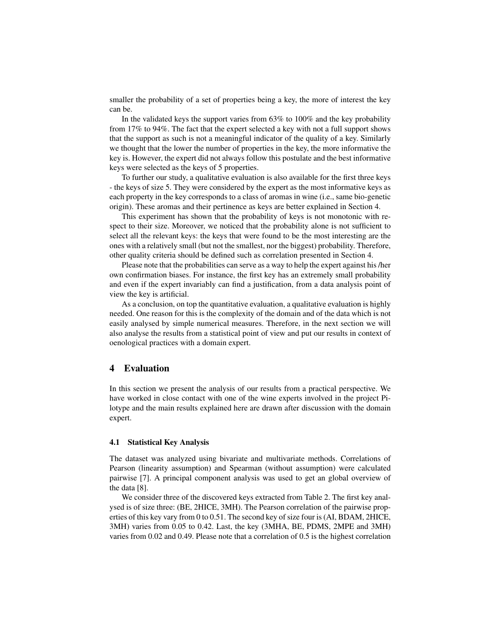smaller the probability of a set of properties being a key, the more of interest the key can be.

In the validated keys the support varies from 63% to 100% and the key probability from 17% to 94%. The fact that the expert selected a key with not a full support shows that the support as such is not a meaningful indicator of the quality of a key. Similarly we thought that the lower the number of properties in the key, the more informative the key is. However, the expert did not always follow this postulate and the best informative keys were selected as the keys of 5 properties.

To further our study, a qualitative evaluation is also available for the first three keys - the keys of size 5. They were considered by the expert as the most informative keys as each property in the key corresponds to a class of aromas in wine (i.e., same bio-genetic origin). These aromas and their pertinence as keys are better explained in Section 4.

This experiment has shown that the probability of keys is not monotonic with respect to their size. Moreover, we noticed that the probability alone is not sufficient to select all the relevant keys: the keys that were found to be the most interesting are the ones with a relatively small (but not the smallest, nor the biggest) probability. Therefore, other quality criteria should be defined such as correlation presented in Section 4.

Please note that the probabilities can serve as a way to help the expert against his /her own confirmation biases. For instance, the first key has an extremely small probability and even if the expert invariably can find a justification, from a data analysis point of view the key is artificial.

As a conclusion, on top the quantitative evaluation, a qualitative evaluation is highly needed. One reason for this is the complexity of the domain and of the data which is not easily analysed by simple numerical measures. Therefore, in the next section we will also analyse the results from a statistical point of view and put our results in context of oenological practices with a domain expert.

## 4 Evaluation

In this section we present the analysis of our results from a practical perspective. We have worked in close contact with one of the wine experts involved in the project Pilotype and the main results explained here are drawn after discussion with the domain expert.

#### 4.1 Statistical Key Analysis

The dataset was analyzed using bivariate and multivariate methods. Correlations of Pearson (linearity assumption) and Spearman (without assumption) were calculated pairwise [7]. A principal component analysis was used to get an global overview of the data [8].

We consider three of the discovered keys extracted from Table 2. The first key analysed is of size three: (BE, 2HICE, 3MH). The Pearson correlation of the pairwise properties of this key vary from 0 to 0.51. The second key of size four is (AI, BDAM, 2HICE, 3MH) varies from 0.05 to 0.42. Last, the key (3MHA, BE, PDMS, 2MPE and 3MH) varies from 0.02 and 0.49. Please note that a correlation of 0.5 is the highest correlation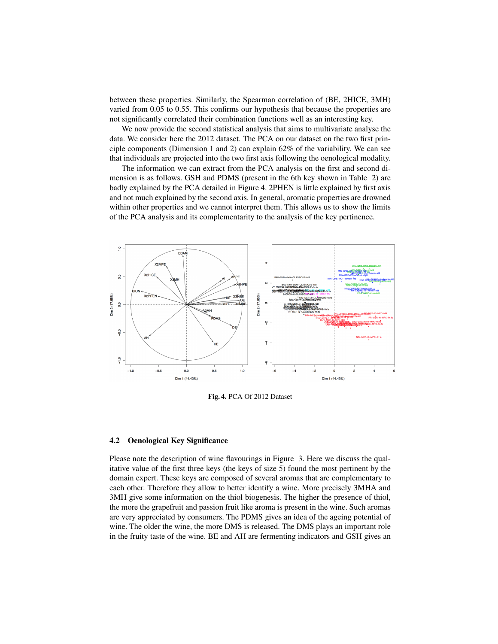between these properties. Similarly, the Spearman correlation of (BE, 2HICE, 3MH) varied from 0.05 to 0.55. This confirms our hypothesis that because the properties are not significantly correlated their combination functions well as an interesting key.

We now provide the second statistical analysis that aims to multivariate analyse the data. We consider here the 2012 dataset. The PCA on our dataset on the two first principle components (Dimension 1 and 2) can explain 62% of the variability. We can see that individuals are projected into the two first axis following the oenological modality.

The information we can extract from the PCA analysis on the first and second dimension is as follows. GSH and PDMS (present in the 6th key shown in Table 2) are badly explained by the PCA detailed in Figure 4. 2PHEN is little explained by first axis and not much explained by the second axis. In general, aromatic properties are drowned within other properties and we cannot interpret them. This allows us to show the limits of the PCA analysis and its complementarity to the analysis of the key pertinence.



Fig. 4. PCA Of 2012 Dataset

#### 4.2 Oenological Key Significance

Please note the description of wine flavourings in Figure 3. Here we discuss the qualitative value of the first three keys (the keys of size 5) found the most pertinent by the domain expert. These keys are composed of several aromas that are complementary to each other. Therefore they allow to better identify a wine. More precisely 3MHA and 3MH give some information on the thiol biogenesis. The higher the presence of thiol, the more the grapefruit and passion fruit like aroma is present in the wine. Such aromas are very appreciated by consumers. The PDMS gives an idea of the ageing potential of wine. The older the wine, the more DMS is released. The DMS plays an important role in the fruity taste of the wine. BE and AH are fermenting indicators and GSH gives an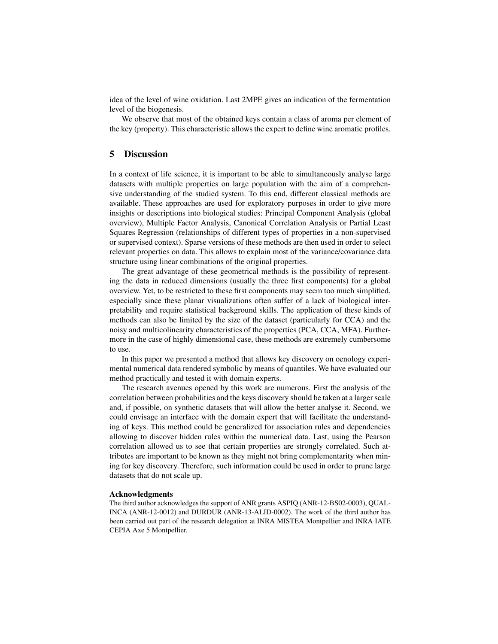idea of the level of wine oxidation. Last 2MPE gives an indication of the fermentation level of the biogenesis.

We observe that most of the obtained keys contain a class of aroma per element of the key (property). This characteristic allows the expert to define wine aromatic profiles.

## 5 Discussion

In a context of life science, it is important to be able to simultaneously analyse large datasets with multiple properties on large population with the aim of a comprehensive understanding of the studied system. To this end, different classical methods are available. These approaches are used for exploratory purposes in order to give more insights or descriptions into biological studies: Principal Component Analysis (global overview), Multiple Factor Analysis, Canonical Correlation Analysis or Partial Least Squares Regression (relationships of different types of properties in a non-supervised or supervised context). Sparse versions of these methods are then used in order to select relevant properties on data. This allows to explain most of the variance/covariance data structure using linear combinations of the original properties.

The great advantage of these geometrical methods is the possibility of representing the data in reduced dimensions (usually the three first components) for a global overview. Yet, to be restricted to these first components may seem too much simplified, especially since these planar visualizations often suffer of a lack of biological interpretability and require statistical background skills. The application of these kinds of methods can also be limited by the size of the dataset (particularly for CCA) and the noisy and multicolinearity characteristics of the properties (PCA, CCA, MFA). Furthermore in the case of highly dimensional case, these methods are extremely cumbersome to use.

In this paper we presented a method that allows key discovery on oenology experimental numerical data rendered symbolic by means of quantiles. We have evaluated our method practically and tested it with domain experts.

The research avenues opened by this work are numerous. First the analysis of the correlation between probabilities and the keys discovery should be taken at a larger scale and, if possible, on synthetic datasets that will allow the better analyse it. Second, we could envisage an interface with the domain expert that will facilitate the understanding of keys. This method could be generalized for association rules and dependencies allowing to discover hidden rules within the numerical data. Last, using the Pearson correlation allowed us to see that certain properties are strongly correlated. Such attributes are important to be known as they might not bring complementarity when mining for key discovery. Therefore, such information could be used in order to prune large datasets that do not scale up.

#### Acknowledgments

The third author acknowledges the support of ANR grants ASPIQ (ANR-12-BS02-0003), QUAL-INCA (ANR-12-0012) and DURDUR (ANR-13-ALID-0002). The work of the third author has been carried out part of the research delegation at INRA MISTEA Montpellier and INRA IATE CEPIA Axe 5 Montpellier.